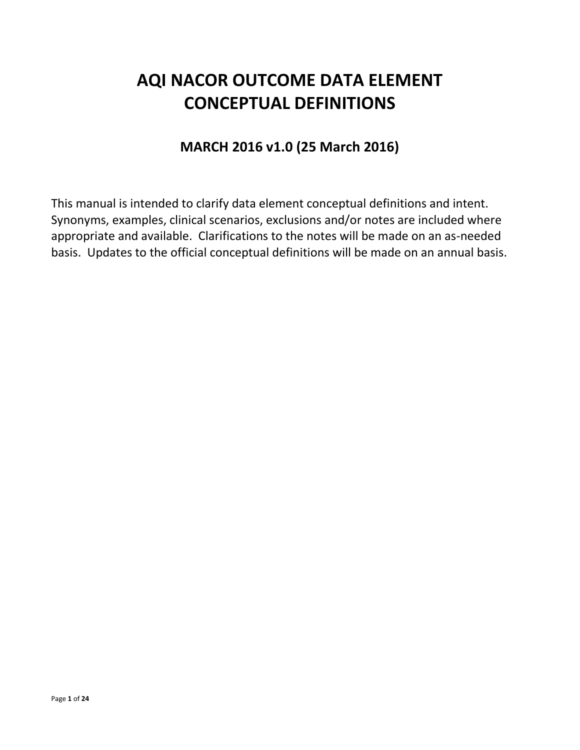# **AQI NACOR OUTCOME DATA ELEMENT CONCEPTUAL DEFINITIONS**

# **MARCH 2016 v1.0 (25 March 2016)**

This manual is intended to clarify data element conceptual definitions and intent. Synonyms, examples, clinical scenarios, exclusions and/or notes are included where appropriate and available. Clarifications to the notes will be made on an as-needed basis. Updates to the official conceptual definitions will be made on an annual basis.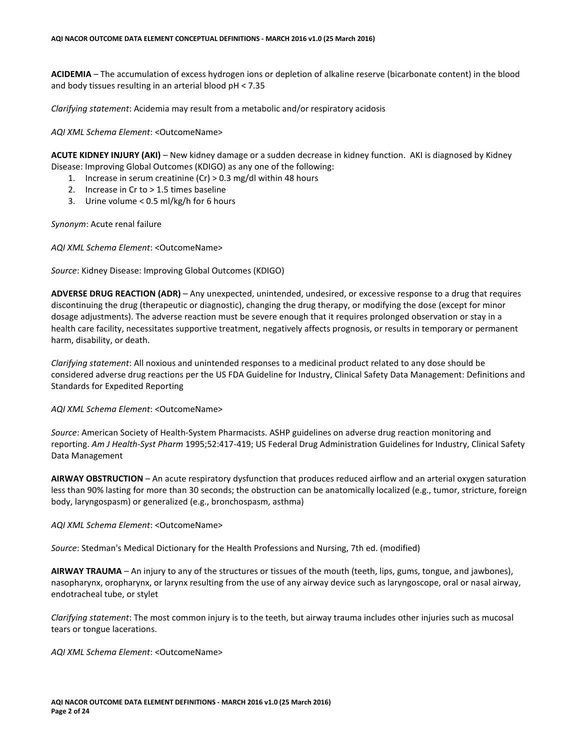**ACIDEMIA** – The accumulation of excess hydrogen ions or depletion of alkaline reserve (bicarbonate content) in the blood and body tissues resulting in an arterial blood pH < 7.35

*Clarifying statement*: Acidemia may result from a metabolic and/or respiratory acidosis

*AQI XML Schema Element*: <OutcomeName>

**ACUTE KIDNEY INJURY (AKI)** – New kidney damage or a sudden decrease in kidney function. AKI is diagnosed by Kidney Disease: Improving Global Outcomes (KDIGO) as any one of the following:

- 1. Increase in serum creatinine (Cr) > 0.3 mg/dl within 48 hours
- 2. Increase in Cr to > 1.5 times baseline
- 3. Urine volume < 0.5 ml/kg/h for 6 hours

*Synonym*: Acute renal failure

*AQI XML Schema Element*: <OutcomeName>

*Source*: Kidney Disease: Improving Global Outcomes (KDIGO)

**ADVERSE DRUG REACTION (ADR)** – Any unexpected, unintended, undesired, or excessive response to a drug that requires discontinuing the drug (therapeutic or diagnostic), changing the drug therapy, or modifying the dose (except for minor dosage adjustments). The adverse reaction must be severe enough that it requires prolonged observation or stay in a health care facility, necessitates supportive treatment, negatively affects prognosis, or results in temporary or permanent harm, disability, or death.

*Clarifying statement*: All noxious and unintended responses to a medicinal product related to any dose should be considered adverse drug reactions per the US FDA Guideline for Industry, Clinical Safety Data Management: Definitions and Standards for Expedited Reporting

*AQI XML Schema Element*: <OutcomeName>

*Source*: American Society of Health-System Pharmacists. ASHP guidelines on adverse drug reaction monitoring and reporting. *Am J Health-Syst Pharm* 1995;52:417-419; US Federal Drug Administration Guidelines for Industry, Clinical Safety Data Management

**AIRWAY OBSTRUCTION** – An acute respiratory dysfunction that produces reduced airflow and an arterial oxygen saturation less than 90% lasting for more than 30 seconds; the obstruction can be anatomically localized (e.g., tumor, stricture, foreign body, laryngospasm) or generalized (e.g., bronchospasm, asthma)

*AQI XML Schema Element*: <OutcomeName>

*Source*: Stedman's Medical Dictionary for the Health Professions and Nursing, 7th ed. (modified)

**AIRWAY TRAUMA** – An injury to any of the structures or tissues of the mouth (teeth, lips, gums, tongue, and jawbones), nasopharynx, oropharynx, or larynx resulting from the use of any airway device such as laryngoscope, oral or nasal airway, endotracheal tube, or stylet

*Clarifying statement*: The most common injury is to the teeth, but airway trauma includes other injuries such as mucosal tears or tongue lacerations.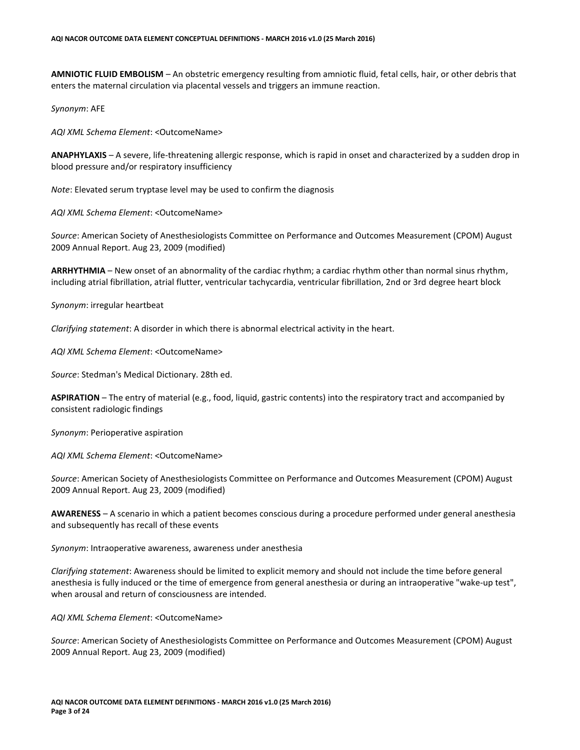**AMNIOTIC FLUID EMBOLISM** – An obstetric emergency resulting from amniotic fluid, fetal cells, hair, or other debris that enters the maternal circulation via placental vessels and triggers an immune reaction.

*Synonym*: AFE

*AQI XML Schema Element*: <OutcomeName>

**ANAPHYLAXIS** – A severe, life-threatening allergic response, which is rapid in onset and characterized by a sudden drop in blood pressure and/or respiratory insufficiency

*Note*: Elevated serum tryptase level may be used to confirm the diagnosis

*AQI XML Schema Element*: <OutcomeName>

*Source*: American Society of Anesthesiologists Committee on Performance and Outcomes Measurement (CPOM) August 2009 Annual Report. Aug 23, 2009 (modified)

**ARRHYTHMIA** – New onset of an abnormality of the cardiac rhythm; a cardiac rhythm other than normal sinus rhythm, including atrial fibrillation, atrial flutter, ventricular tachycardia, ventricular fibrillation, 2nd or 3rd degree heart block

*Synonym*: irregular heartbeat

*Clarifying statement*: A disorder in which there is abnormal electrical activity in the heart.

*AQI XML Schema Element*: <OutcomeName>

*Source*: Stedman's Medical Dictionary. 28th ed.

**ASPIRATION** – The entry of material (e.g., food, liquid, gastric contents) into the respiratory tract and accompanied by consistent radiologic findings

*Synonym*: Perioperative aspiration

*AQI XML Schema Element*: <OutcomeName>

*Source*: American Society of Anesthesiologists Committee on Performance and Outcomes Measurement (CPOM) August 2009 Annual Report. Aug 23, 2009 (modified)

**AWARENESS** – A scenario in which a patient becomes conscious during a procedure performed under general anesthesia and subsequently has recall of these events

*Synonym*: Intraoperative awareness, awareness under anesthesia

*Clarifying statement*: Awareness should be limited to explicit memory and should not include the time before general anesthesia is fully induced or the time of emergence from general anesthesia or during an intraoperative "wake-up test", when arousal and return of consciousness are intended.

*AQI XML Schema Element*: <OutcomeName>

*Source*: American Society of Anesthesiologists Committee on Performance and Outcomes Measurement (CPOM) August 2009 Annual Report. Aug 23, 2009 (modified)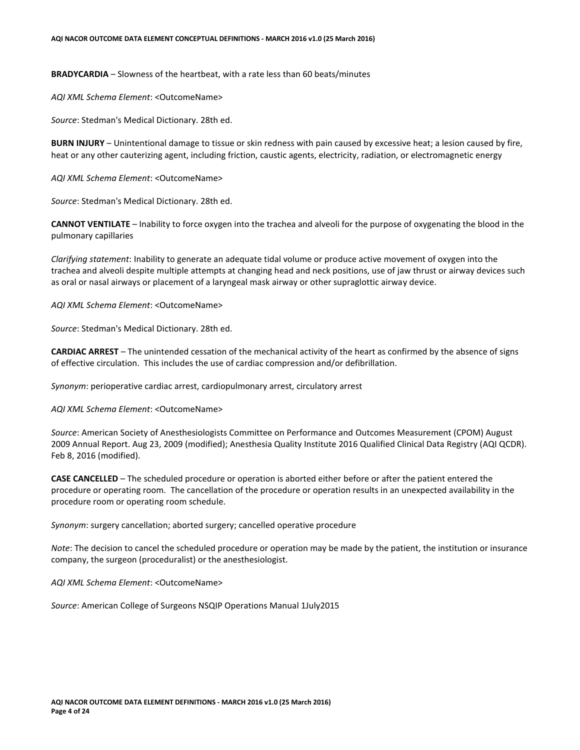**BRADYCARDIA** – Slowness of the heartbeat, with a rate less than 60 beats/minutes

*AQI XML Schema Element*: <OutcomeName>

*Source*: Stedman's Medical Dictionary. 28th ed.

**BURN INJURY** – Unintentional damage to tissue or skin redness with pain caused by excessive heat; a lesion caused by fire, heat or any other cauterizing agent, including friction, caustic agents, electricity, radiation, or electromagnetic energy

*AQI XML Schema Element*: <OutcomeName>

*Source*: Stedman's Medical Dictionary. 28th ed.

**CANNOT VENTILATE** – Inability to force oxygen into the trachea and alveoli for the purpose of oxygenating the blood in the pulmonary capillaries

*Clarifying statement*: Inability to generate an adequate tidal volume or produce active movement of oxygen into the trachea and alveoli despite multiple attempts at changing head and neck positions, use of jaw thrust or airway devices such as oral or nasal airways or placement of a laryngeal mask airway or other supraglottic airway device.

*AQI XML Schema Element*: <OutcomeName>

*Source*: Stedman's Medical Dictionary. 28th ed.

**CARDIAC ARREST** – The unintended cessation of the mechanical activity of the heart as confirmed by the absence of signs of effective circulation. This includes the use of cardiac compression and/or defibrillation.

*Synonym*: perioperative cardiac arrest, cardiopulmonary arrest, circulatory arrest

*AQI XML Schema Element*: <OutcomeName>

*Source*: American Society of Anesthesiologists Committee on Performance and Outcomes Measurement (CPOM) August 2009 Annual Report. Aug 23, 2009 (modified); Anesthesia Quality Institute 2016 Qualified Clinical Data Registry (AQI QCDR). Feb 8, 2016 (modified).

**CASE CANCELLED** – The scheduled procedure or operation is aborted either before or after the patient entered the procedure or operating room. The cancellation of the procedure or operation results in an unexpected availability in the procedure room or operating room schedule.

*Synonym*: surgery cancellation; aborted surgery; cancelled operative procedure

*Note*: The decision to cancel the scheduled procedure or operation may be made by the patient, the institution or insurance company, the surgeon (proceduralist) or the anesthesiologist.

*AQI XML Schema Element*: <OutcomeName>

*Source*: American College of Surgeons NSQIP Operations Manual 1July2015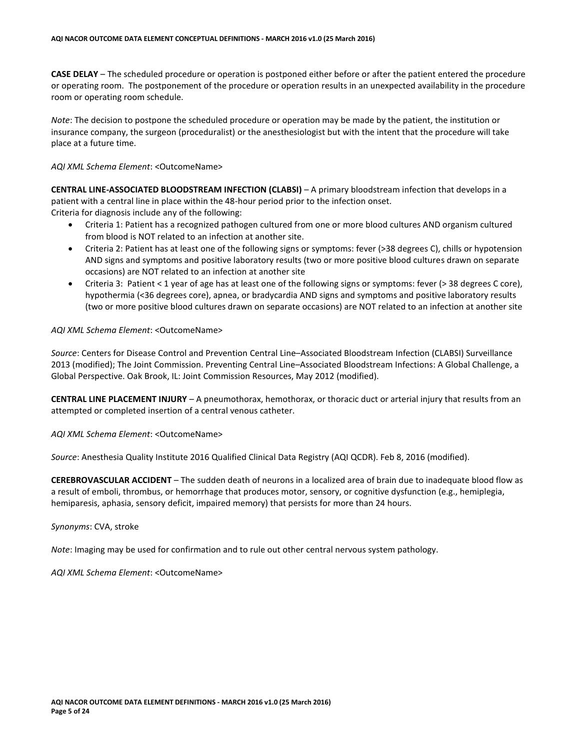**CASE DELAY** – The scheduled procedure or operation is postponed either before or after the patient entered the procedure or operating room. The postponement of the procedure or operation results in an unexpected availability in the procedure room or operating room schedule.

*Note*: The decision to postpone the scheduled procedure or operation may be made by the patient, the institution or insurance company, the surgeon (proceduralist) or the anesthesiologist but with the intent that the procedure will take place at a future time.

#### *AQI XML Schema Element*: <OutcomeName>

**CENTRAL LINE-ASSOCIATED BLOODSTREAM INFECTION (CLABSI)** – A primary bloodstream infection that develops in a patient with a central line in place within the 48-hour period prior to the infection onset.

Criteria for diagnosis include any of the following:

- Criteria 1: Patient has a recognized pathogen cultured from one or more blood cultures AND organism cultured from blood is NOT related to an infection at another site.
- Criteria 2: Patient has at least one of the following signs or symptoms: fever (>38 degrees C), chills or hypotension AND signs and symptoms and positive laboratory results (two or more positive blood cultures drawn on separate occasions) are NOT related to an infection at another site
- Criteria 3: Patient < 1 year of age has at least one of the following signs or symptoms: fever (> 38 degrees C core), hypothermia (<36 degrees core), apnea, or bradycardia AND signs and symptoms and positive laboratory results (two or more positive blood cultures drawn on separate occasions) are NOT related to an infection at another site

#### *AQI XML Schema Element*: <OutcomeName>

*Source*: Centers for Disease Control and Prevention Central Line–Associated Bloodstream Infection (CLABSI) Surveillance 2013 (modified); The Joint Commission. Preventing Central Line–Associated Bloodstream Infections: A Global Challenge, a Global Perspective. Oak Brook, IL: Joint Commission Resources, May 2012 (modified).

**CENTRAL LINE PLACEMENT INJURY** – A pneumothorax, hemothorax, or thoracic duct or arterial injury that results from an attempted or completed insertion of a central venous catheter.

#### *AQI XML Schema Element*: <OutcomeName>

*Source*: Anesthesia Quality Institute 2016 Qualified Clinical Data Registry (AQI QCDR). Feb 8, 2016 (modified).

**CEREBROVASCULAR ACCIDENT** – The sudden death of neurons in a localized area of brain due to inadequate blood flow as a result of emboli, thrombus, or hemorrhage that produces motor, sensory, or cognitive dysfunction (e.g., hemiplegia, hemiparesis, aphasia, sensory deficit, impaired memory) that persists for more than 24 hours.

### *Synonyms*: CVA, stroke

*Note*: Imaging may be used for confirmation and to rule out other central nervous system pathology.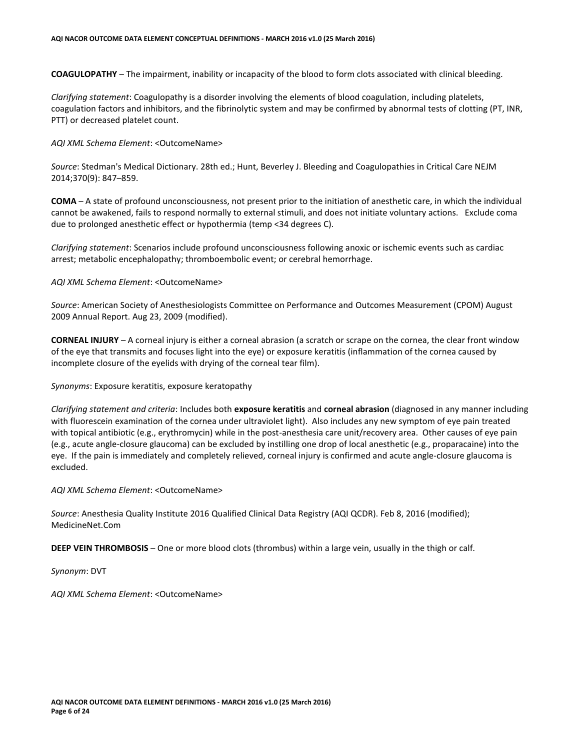**COAGULOPATHY** – The impairment, inability or incapacity of the blood to form clots associated with clinical bleeding.

*Clarifying statement*: Coagulopathy is a disorder involving the elements of blood coagulation, including platelets, coagulation factors and inhibitors, and the fibrinolytic system and may be confirmed by abnormal tests of clotting (PT, INR, PTT) or decreased platelet count.

# *AQI XML Schema Element*: <OutcomeName>

*Source*: Stedman's Medical Dictionary. 28th ed.; Hunt, Beverley J. Bleeding and Coagulopathies in Critical Care NEJM 2014;370(9): 847–859.

**COMA** – A state of profound unconsciousness, not present prior to the initiation of anesthetic care, in which the individual cannot be awakened, fails to respond normally to external stimuli, and does not initiate voluntary actions. Exclude coma due to prolonged anesthetic effect or hypothermia (temp <34 degrees C).

*Clarifying statement*: Scenarios include profound unconsciousness following anoxic or ischemic events such as cardiac arrest; metabolic encephalopathy; thromboembolic event; or cerebral hemorrhage.

# *AQI XML Schema Element*: <OutcomeName>

*Source*: American Society of Anesthesiologists Committee on Performance and Outcomes Measurement (CPOM) August 2009 Annual Report. Aug 23, 2009 (modified).

**CORNEAL INJURY** – A corneal injury is either a corneal abrasion (a scratch or scrape on the cornea, the clear front window of the eye that transmits and focuses light into the eye) or exposure keratitis (inflammation of the cornea caused by incomplete closure of the eyelids with drying of the corneal tear film).

# *Synonyms*: Exposure keratitis, exposure keratopathy

*Clarifying statement and criteria*: Includes both **exposure keratitis** and **corneal abrasion** (diagnosed in any manner including with fluorescein examination of the cornea under ultraviolet light). Also includes any new symptom of eye pain treated with topical antibiotic (e.g., erythromycin) while in the post-anesthesia care unit/recovery area. Other causes of eye pain (e.g., acute angle-closure glaucoma) can be excluded by instilling one drop of local anesthetic (e.g., proparacaine) into the eye. If the pain is immediately and completely relieved, corneal injury is confirmed and acute angle-closure glaucoma is excluded.

# *AQI XML Schema Element*: <OutcomeName>

*Source*: Anesthesia Quality Institute 2016 Qualified Clinical Data Registry (AQI QCDR). Feb 8, 2016 (modified); MedicineNet.Com

**DEEP VEIN THROMBOSIS** – One or more blood clots (thrombus) within a large vein, usually in the thigh or calf.

*Synonym*: DVT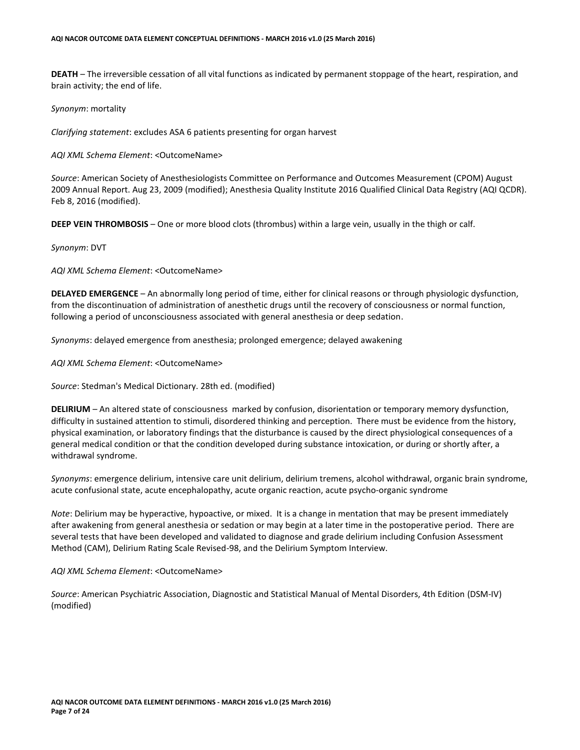**DEATH** – The irreversible cessation of all vital functions as indicated by permanent stoppage of the heart, respiration, and brain activity; the end of life.

#### *Synonym*: mortality

*Clarifying statement*: excludes ASA 6 patients presenting for organ harvest

#### *AQI XML Schema Element*: <OutcomeName>

*Source*: American Society of Anesthesiologists Committee on Performance and Outcomes Measurement (CPOM) August 2009 Annual Report. Aug 23, 2009 (modified); Anesthesia Quality Institute 2016 Qualified Clinical Data Registry (AQI QCDR). Feb 8, 2016 (modified).

**DEEP VEIN THROMBOSIS** – One or more blood clots (thrombus) within a large vein, usually in the thigh or calf.

#### *Synonym*: DVT

*AQI XML Schema Element*: <OutcomeName>

**DELAYED EMERGENCE** – An abnormally long period of time, either for clinical reasons or through physiologic dysfunction, from the discontinuation of administration of anesthetic drugs until the recovery of consciousness or normal function, following a period of unconsciousness associated with general anesthesia or deep sedation.

*Synonyms*: delayed emergence from anesthesia; prolonged emergence; delayed awakening

*AQI XML Schema Element*: <OutcomeName>

*Source*: Stedman's Medical Dictionary. 28th ed. (modified)

**DELIRIUM** – An altered state of consciousness marked by confusion, disorientation or temporary memory dysfunction, difficulty in sustained attention to stimuli, disordered thinking and perception. There must be evidence from the history, physical examination, or laboratory findings that the disturbance is caused by the direct physiological consequences of a general medical condition or that the condition developed during substance intoxication, or during or shortly after, a withdrawal syndrome.

*Synonyms*: emergence delirium, intensive care unit delirium, delirium tremens, alcohol withdrawal, organic brain syndrome, acute confusional state, acute encephalopathy, acute organic reaction, acute psycho-organic syndrome

*Note*: Delirium may be hyperactive, hypoactive, or mixed. It is a change in mentation that may be present immediately after awakening from general anesthesia or sedation or may begin at a later time in the postoperative period. There are several tests that have been developed and validated to diagnose and grade delirium including Confusion Assessment Method (CAM), Delirium Rating Scale Revised-98, and the Delirium Symptom Interview.

#### *AQI XML Schema Element*: <OutcomeName>

*Source*: American Psychiatric Association, Diagnostic and Statistical Manual of Mental Disorders, 4th Edition (DSM-IV) (modified)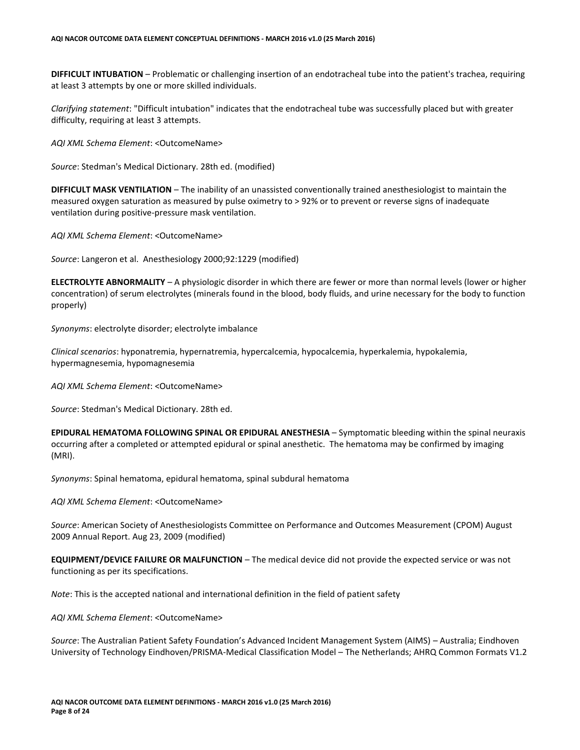**DIFFICULT INTUBATION** – Problematic or challenging insertion of an endotracheal tube into the patient's trachea, requiring at least 3 attempts by one or more skilled individuals.

*Clarifying statement*: "Difficult intubation" indicates that the endotracheal tube was successfully placed but with greater difficulty, requiring at least 3 attempts.

*AQI XML Schema Element*: <OutcomeName>

*Source*: Stedman's Medical Dictionary. 28th ed. (modified)

**DIFFICULT MASK VENTILATION** – The inability of an unassisted conventionally trained anesthesiologist to maintain the measured oxygen saturation as measured by pulse oximetry to > 92% or to prevent or reverse signs of inadequate ventilation during positive-pressure mask ventilation.

*AQI XML Schema Element*: <OutcomeName>

*Source*: Langeron et al. Anesthesiology 2000;92:1229 (modified)

**ELECTROLYTE ABNORMALITY** – A physiologic disorder in which there are fewer or more than normal levels (lower or higher concentration) of serum electrolytes (minerals found in the blood, body fluids, and urine necessary for the body to function properly)

*Synonyms*: electrolyte disorder; electrolyte imbalance

*Clinical scenarios*: hyponatremia, hypernatremia, hypercalcemia, hypocalcemia, hyperkalemia, hypokalemia, hypermagnesemia, hypomagnesemia

*AQI XML Schema Element*: <OutcomeName>

*Source*: Stedman's Medical Dictionary. 28th ed.

**EPIDURAL HEMATOMA FOLLOWING SPINAL OR EPIDURAL ANESTHESIA** – Symptomatic bleeding within the spinal neuraxis occurring after a completed or attempted epidural or spinal anesthetic. The hematoma may be confirmed by imaging (MRI).

*Synonyms*: Spinal hematoma, epidural hematoma, spinal subdural hematoma

*AQI XML Schema Element*: <OutcomeName>

*Source*: American Society of Anesthesiologists Committee on Performance and Outcomes Measurement (CPOM) August 2009 Annual Report. Aug 23, 2009 (modified)

**EQUIPMENT/DEVICE FAILURE OR MALFUNCTION** – The medical device did not provide the expected service or was not functioning as per its specifications.

*Note*: This is the accepted national and international definition in the field of patient safety

*AQI XML Schema Element*: <OutcomeName>

*Source*: The Australian Patient Safety Foundation's Advanced Incident Management System (AIMS) – Australia; Eindhoven University of Technology Eindhoven/PRISMA-Medical Classification Model – The Netherlands; AHRQ Common Formats V1.2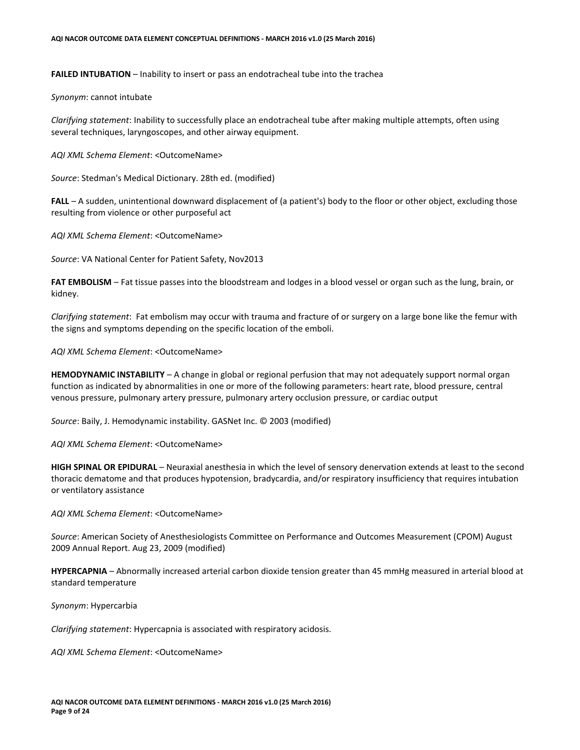**FAILED INTUBATION** – Inability to insert or pass an endotracheal tube into the trachea

*Synonym*: cannot intubate

*Clarifying statement*: Inability to successfully place an endotracheal tube after making multiple attempts, often using several techniques, laryngoscopes, and other airway equipment.

*AQI XML Schema Element*: <OutcomeName>

*Source*: Stedman's Medical Dictionary. 28th ed. (modified)

**FALL** – A sudden, unintentional downward displacement of (a patient's) body to the floor or other object, excluding those resulting from violence or other purposeful act

*AQI XML Schema Element*: <OutcomeName>

*Source*: VA National Center for Patient Safety, Nov2013

**FAT EMBOLISM** – Fat tissue passes into the bloodstream and lodges in a blood vessel or organ such as the lung, brain, or kidney.

*Clarifying statement*: Fat embolism may occur with trauma and fracture of or surgery on a large bone like the femur with the signs and symptoms depending on the specific location of the emboli.

*AQI XML Schema Element*: <OutcomeName>

**HEMODYNAMIC INSTABILITY** – A change in global or regional perfusion that may not adequately support normal organ function as indicated by abnormalities in one or more of the following parameters: heart rate, blood pressure, central venous pressure, pulmonary artery pressure, pulmonary artery occlusion pressure, or cardiac output

*Source*: Baily, J. Hemodynamic instability. GASNet Inc. © 2003 (modified)

*AQI XML Schema Element*: <OutcomeName>

**HIGH SPINAL OR EPIDURAL** – Neuraxial anesthesia in which the level of sensory denervation extends at least to the second thoracic dematome and that produces hypotension, bradycardia, and/or respiratory insufficiency that requires intubation or ventilatory assistance

*AQI XML Schema Element*: <OutcomeName>

*Source*: American Society of Anesthesiologists Committee on Performance and Outcomes Measurement (CPOM) August 2009 Annual Report. Aug 23, 2009 (modified)

**HYPERCAPNIA** – Abnormally increased arterial carbon dioxide tension greater than 45 mmHg measured in arterial blood at standard temperature

*Synonym*: Hypercarbia

*Clarifying statement*: Hypercapnia is associated with respiratory acidosis.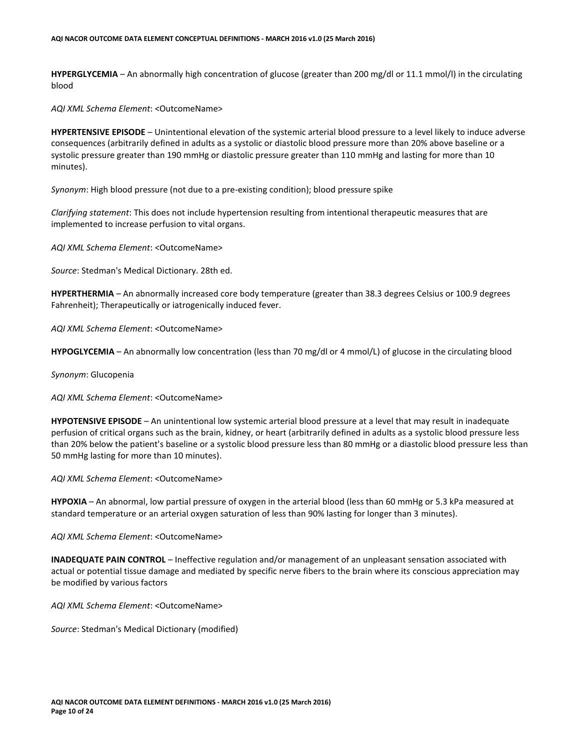**HYPERGLYCEMIA** – An abnormally high concentration of glucose (greater than 200 mg/dl or 11.1 mmol/l) in the circulating blood

*AQI XML Schema Element*: <OutcomeName>

**HYPERTENSIVE EPISODE** – Unintentional elevation of the systemic arterial blood pressure to a level likely to induce adverse consequences (arbitrarily defined in adults as a systolic or diastolic blood pressure more than 20% above baseline or a systolic pressure greater than 190 mmHg or diastolic pressure greater than 110 mmHg and lasting for more than 10 minutes).

*Synonym*: High blood pressure (not due to a pre-existing condition); blood pressure spike

*Clarifying statement*: This does not include hypertension resulting from intentional therapeutic measures that are implemented to increase perfusion to vital organs.

*AQI XML Schema Element*: <OutcomeName>

*Source*: Stedman's Medical Dictionary. 28th ed.

**HYPERTHERMIA** – An abnormally increased core body temperature (greater than 38.3 degrees Celsius or 100.9 degrees Fahrenheit); Therapeutically or iatrogenically induced fever.

*AQI XML Schema Element*: <OutcomeName>

**HYPOGLYCEMIA** – An abnormally low concentration (less than 70 mg/dl or 4 mmol/L) of glucose in the circulating blood

*Synonym*: Glucopenia

*AQI XML Schema Element*: <OutcomeName>

**HYPOTENSIVE EPISODE** – An unintentional low systemic arterial blood pressure at a level that may result in inadequate perfusion of critical organs such as the brain, kidney, or heart (arbitrarily defined in adults as a systolic blood pressure less than 20% below the patient's baseline or a systolic blood pressure less than 80 mmHg or a diastolic blood pressure less than 50 mmHg lasting for more than 10 minutes).

*AQI XML Schema Element*: <OutcomeName>

**HYPOXIA** – An abnormal, low partial pressure of oxygen in the arterial blood (less than 60 mmHg or 5.3 kPa measured at standard temperature or an arterial oxygen saturation of less than 90% lasting for longer than 3 minutes).

*AQI XML Schema Element*: <OutcomeName>

**INADEQUATE PAIN CONTROL** – Ineffective regulation and/or management of an unpleasant sensation associated with actual or potential tissue damage and mediated by specific nerve fibers to the brain where its conscious appreciation may be modified by various factors

*AQI XML Schema Element*: <OutcomeName>

*Source*: Stedman's Medical Dictionary (modified)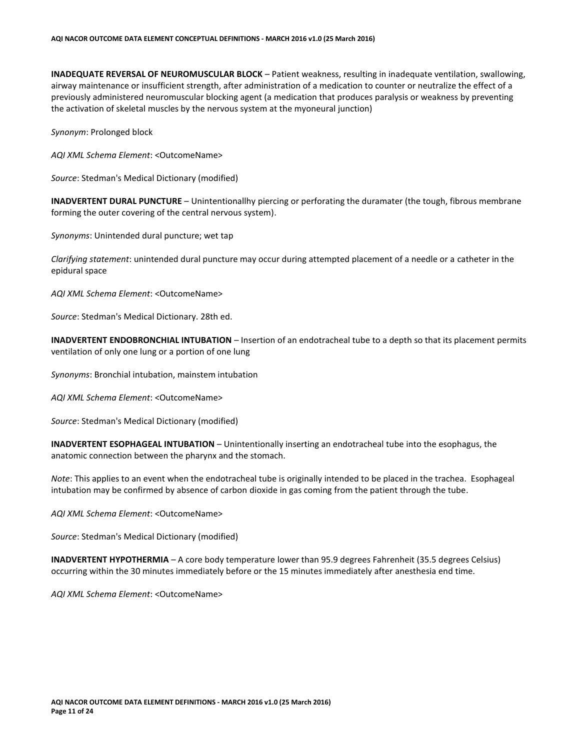**INADEQUATE REVERSAL OF NEUROMUSCULAR BLOCK** – Patient weakness, resulting in inadequate ventilation, swallowing, airway maintenance or insufficient strength, after administration of a medication to counter or neutralize the effect of a previously administered neuromuscular blocking agent (a medication that produces paralysis or weakness by preventing the activation of skeletal muscles by the nervous system at the myoneural junction)

*Synonym*: Prolonged block

*AQI XML Schema Element*: <OutcomeName>

*Source*: Stedman's Medical Dictionary (modified)

**INADVERTENT DURAL PUNCTURE** – Unintentionallhy piercing or perforating the duramater (the tough, fibrous membrane forming the outer covering of the central nervous system).

*Synonyms*: Unintended dural puncture; wet tap

*Clarifying statement*: unintended dural puncture may occur during attempted placement of a needle or a catheter in the epidural space

*AQI XML Schema Element*: <OutcomeName>

*Source*: Stedman's Medical Dictionary. 28th ed.

**INADVERTENT ENDOBRONCHIAL INTUBATION** – Insertion of an endotracheal tube to a depth so that its placement permits ventilation of only one lung or a portion of one lung

*Synonyms*: Bronchial intubation, mainstem intubation

*AQI XML Schema Element*: <OutcomeName>

*Source*: Stedman's Medical Dictionary (modified)

**INADVERTENT ESOPHAGEAL INTUBATION** – Unintentionally inserting an endotracheal tube into the esophagus, the anatomic connection between the pharynx and the stomach.

*Note*: This applies to an event when the endotracheal tube is originally intended to be placed in the trachea. Esophageal intubation may be confirmed by absence of carbon dioxide in gas coming from the patient through the tube.

*AQI XML Schema Element*: <OutcomeName>

*Source*: Stedman's Medical Dictionary (modified)

**INADVERTENT HYPOTHERMIA** – A core body temperature lower than 95.9 degrees Fahrenheit (35.5 degrees Celsius) occurring within the 30 minutes immediately before or the 15 minutes immediately after anesthesia end time.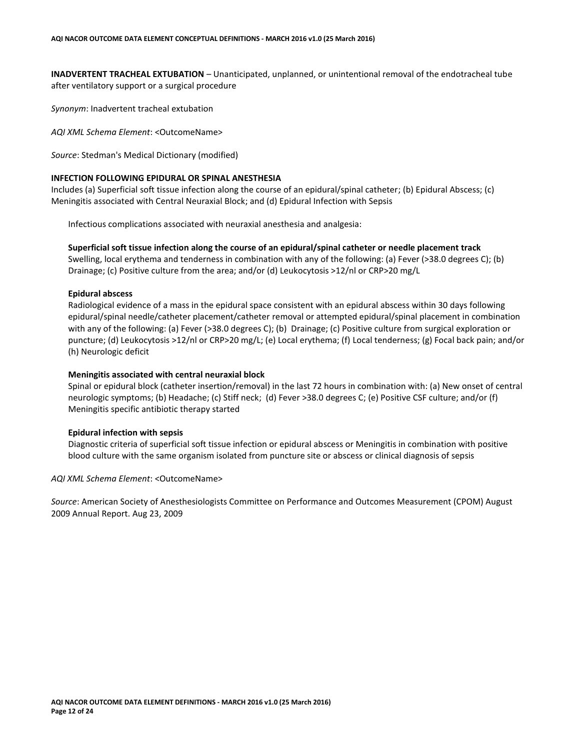**INADVERTENT TRACHEAL EXTUBATION** – Unanticipated, unplanned, or unintentional removal of the endotracheal tube after ventilatory support or a surgical procedure

*Synonym*: Inadvertent tracheal extubation

*AQI XML Schema Element*: <OutcomeName>

*Source*: Stedman's Medical Dictionary (modified)

#### **INFECTION FOLLOWING EPIDURAL OR SPINAL ANESTHESIA**

Includes (a) Superficial soft tissue infection along the course of an epidural/spinal catheter; (b) Epidural Abscess; (c) Meningitis associated with Central Neuraxial Block; and (d) Epidural Infection with Sepsis

Infectious complications associated with neuraxial anesthesia and analgesia:

**Superficial soft tissue infection along the course of an epidural/spinal catheter or needle placement track**  Swelling, local erythema and tenderness in combination with any of the following: (a) Fever (>38.0 degrees C); (b) Drainage; (c) Positive culture from the area; and/or (d) Leukocytosis >12/nl or CRP>20 mg/L

#### **Epidural abscess**

Radiological evidence of a mass in the epidural space consistent with an epidural abscess within 30 days following epidural/spinal needle/catheter placement/catheter removal or attempted epidural/spinal placement in combination with any of the following: (a) Fever (>38.0 degrees C); (b) Drainage; (c) Positive culture from surgical exploration or puncture; (d) Leukocytosis >12/nl or CRP>20 mg/L; (e) Local erythema; (f) Local tenderness; (g) Focal back pain; and/or (h) Neurologic deficit

#### **Meningitis associated with central neuraxial block**

Spinal or epidural block (catheter insertion/removal) in the last 72 hours in combination with: (a) New onset of central neurologic symptoms; (b) Headache; (c) Stiff neck; (d) Fever >38.0 degrees C; (e) Positive CSF culture; and/or (f) Meningitis specific antibiotic therapy started

#### **Epidural infection with sepsis**

Diagnostic criteria of superficial soft tissue infection or epidural abscess or Meningitis in combination with positive blood culture with the same organism isolated from puncture site or abscess or clinical diagnosis of sepsis

*AQI XML Schema Element*: <OutcomeName>

*Source*: American Society of Anesthesiologists Committee on Performance and Outcomes Measurement (CPOM) August 2009 Annual Report. Aug 23, 2009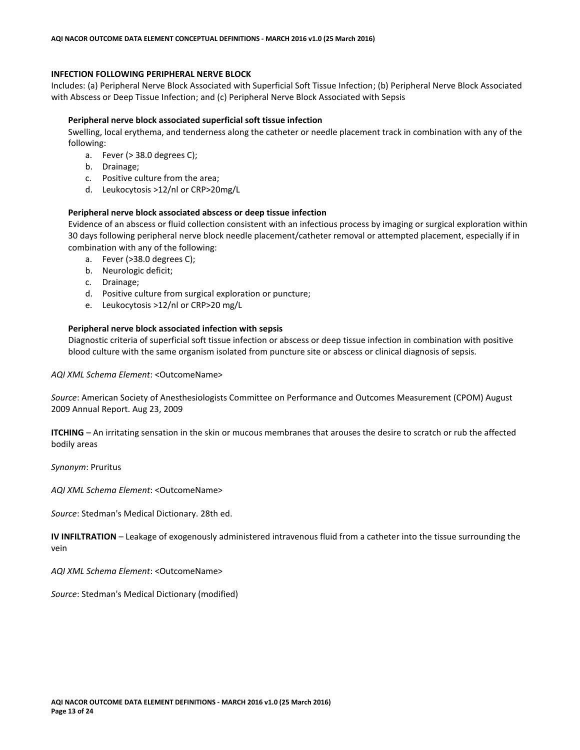## **INFECTION FOLLOWING PERIPHERAL NERVE BLOCK**

Includes: (a) Peripheral Nerve Block Associated with Superficial Soft Tissue Infection; (b) Peripheral Nerve Block Associated with Abscess or Deep Tissue Infection; and (c) Peripheral Nerve Block Associated with Sepsis

#### **Peripheral nerve block associated superficial soft tissue infection**

Swelling, local erythema, and tenderness along the catheter or needle placement track in combination with any of the following:

- a. Fever (> 38.0 degrees C);
- b. Drainage;
- c. Positive culture from the area;
- d. Leukocytosis >12/nl or CRP>20mg/L

#### **Peripheral nerve block associated abscess or deep tissue infection**

Evidence of an abscess or fluid collection consistent with an infectious process by imaging or surgical exploration within 30 days following peripheral nerve block needle placement/catheter removal or attempted placement, especially if in combination with any of the following:

- a. Fever (>38.0 degrees C);
- b. Neurologic deficit;
- c. Drainage;
- d. Positive culture from surgical exploration or puncture;
- e. Leukocytosis >12/nl or CRP>20 mg/L

#### **Peripheral nerve block associated infection with sepsis**

Diagnostic criteria of superficial soft tissue infection or abscess or deep tissue infection in combination with positive blood culture with the same organism isolated from puncture site or abscess or clinical diagnosis of sepsis.

*AQI XML Schema Element*: <OutcomeName>

*Source*: American Society of Anesthesiologists Committee on Performance and Outcomes Measurement (CPOM) August 2009 Annual Report. Aug 23, 2009

**ITCHING** – An irritating sensation in the skin or mucous membranes that arouses the desire to scratch or rub the affected bodily areas

*Synonym*: Pruritus

*AQI XML Schema Element*: <OutcomeName>

*Source*: Stedman's Medical Dictionary. 28th ed.

**IV INFILTRATION** – Leakage of exogenously administered intravenous fluid from a catheter into the tissue surrounding the vein

*AQI XML Schema Element*: <OutcomeName>

*Source*: Stedman's Medical Dictionary (modified)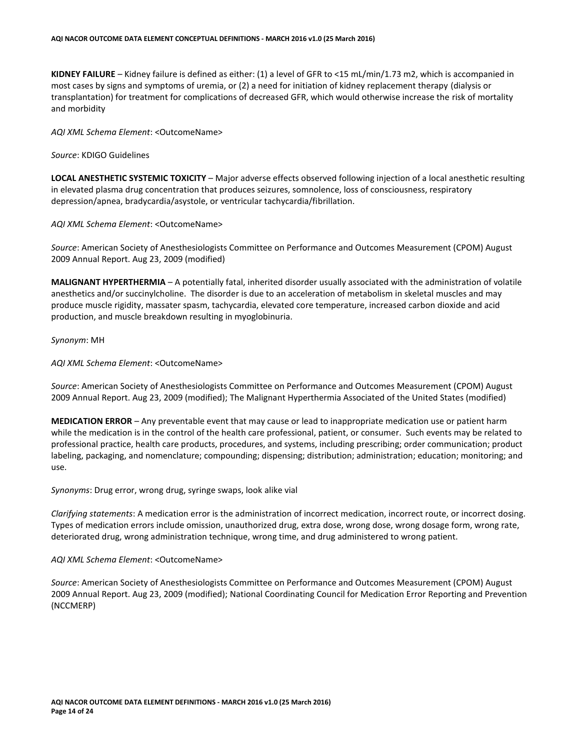**KIDNEY FAILURE** – Kidney failure is defined as either: (1) a level of GFR to <15 mL/min/1.73 m2, which is accompanied in most cases by signs and symptoms of uremia, or (2) a need for initiation of kidney replacement therapy (dialysis or transplantation) for treatment for complications of decreased GFR, which would otherwise increase the risk of mortality and morbidity

*AQI XML Schema Element*: <OutcomeName>

*Source*: KDIGO Guidelines

**LOCAL ANESTHETIC SYSTEMIC TOXICITY** – Major adverse effects observed following injection of a local anesthetic resulting in elevated plasma drug concentration that produces seizures, somnolence, loss of consciousness, respiratory depression/apnea, bradycardia/asystole, or ventricular tachycardia/fibrillation.

*AQI XML Schema Element*: <OutcomeName>

*Source*: American Society of Anesthesiologists Committee on Performance and Outcomes Measurement (CPOM) August 2009 Annual Report. Aug 23, 2009 (modified)

**MALIGNANT HYPERTHERMIA** – A potentially fatal, inherited disorder usually associated with the administration of volatile anesthetics and/or succinylcholine. The disorder is due to an acceleration of metabolism in skeletal muscles and may produce muscle rigidity, massater spasm, tachycardia, elevated core temperature, increased carbon dioxide and acid production, and muscle breakdown resulting in myoglobinuria.

*Synonym*: MH

*AQI XML Schema Element*: <OutcomeName>

*Source*: American Society of Anesthesiologists Committee on Performance and Outcomes Measurement (CPOM) August 2009 Annual Report. Aug 23, 2009 (modified); The Malignant Hyperthermia Associated of the United States (modified)

**MEDICATION ERROR** – Any preventable event that may cause or lead to inappropriate medication use or patient harm while the medication is in the control of the health care professional, patient, or consumer. Such events may be related to professional practice, health care products, procedures, and systems, including prescribing; order communication; product labeling, packaging, and nomenclature; compounding; dispensing; distribution; administration; education; monitoring; and use.

*Synonyms*: Drug error, wrong drug, syringe swaps, look alike vial

*Clarifying statements*: A medication error is the administration of incorrect medication, incorrect route, or incorrect dosing. Types of medication errors include omission, unauthorized drug, extra dose, wrong dose, wrong dosage form, wrong rate, deteriorated drug, wrong administration technique, wrong time, and drug administered to wrong patient.

#### *AQI XML Schema Element*: <OutcomeName>

*Source*: American Society of Anesthesiologists Committee on Performance and Outcomes Measurement (CPOM) August 2009 Annual Report. Aug 23, 2009 (modified); National Coordinating Council for Medication Error Reporting and Prevention (NCCMERP)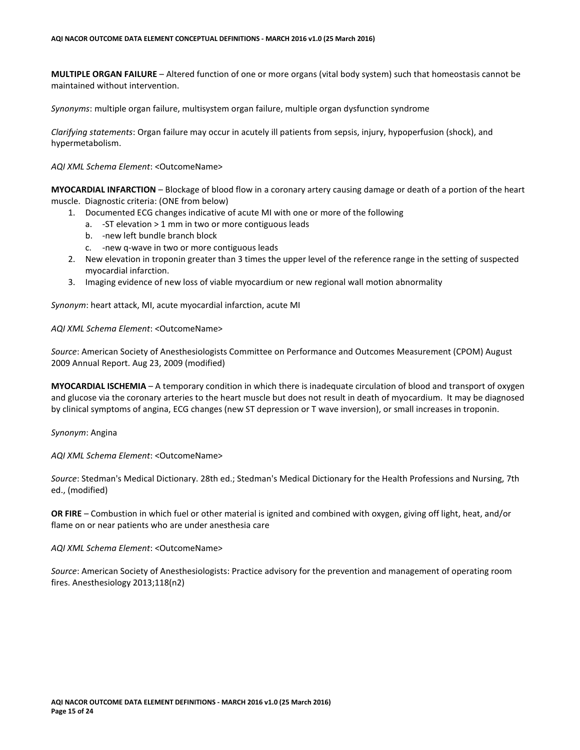**MULTIPLE ORGAN FAILURE** – Altered function of one or more organs (vital body system) such that homeostasis cannot be maintained without intervention.

*Synonyms*: multiple organ failure, multisystem organ failure, multiple organ dysfunction syndrome

*Clarifying statements*: Organ failure may occur in acutely ill patients from sepsis, injury, hypoperfusion (shock), and hypermetabolism.

#### *AQI XML Schema Element*: <OutcomeName>

**MYOCARDIAL INFARCTION** – Blockage of blood flow in a coronary artery causing damage or death of a portion of the heart muscle. Diagnostic criteria: (ONE from below)

- 1. Documented ECG changes indicative of acute MI with one or more of the following
	- a. -ST elevation > 1 mm in two or more contiguous leads
	- b. -new left bundle branch block
	- c. -new q-wave in two or more contiguous leads
- 2. New elevation in troponin greater than 3 times the upper level of the reference range in the setting of suspected myocardial infarction.
- 3. Imaging evidence of new loss of viable myocardium or new regional wall motion abnormality

*Synonym*: heart attack, MI, acute myocardial infarction, acute MI

# *AQI XML Schema Element*: <OutcomeName>

*Source*: American Society of Anesthesiologists Committee on Performance and Outcomes Measurement (CPOM) August 2009 Annual Report. Aug 23, 2009 (modified)

**MYOCARDIAL ISCHEMIA** – A temporary condition in which there is inadequate circulation of blood and transport of oxygen and glucose via the coronary arteries to the heart muscle but does not result in death of myocardium. It may be diagnosed by clinical symptoms of angina, ECG changes (new ST depression or T wave inversion), or small increases in troponin.

*Synonym*: Angina

*AQI XML Schema Element*: <OutcomeName>

*Source*: Stedman's Medical Dictionary. 28th ed.; Stedman's Medical Dictionary for the Health Professions and Nursing, 7th ed., (modified)

**OR FIRE** – Combustion in which fuel or other material is ignited and combined with oxygen, giving off light, heat, and/or flame on or near patients who are under anesthesia care

*AQI XML Schema Element*: <OutcomeName>

*Source*: American Society of Anesthesiologists: Practice advisory for the prevention and management of operating room fires. Anesthesiology 2013;118(n2)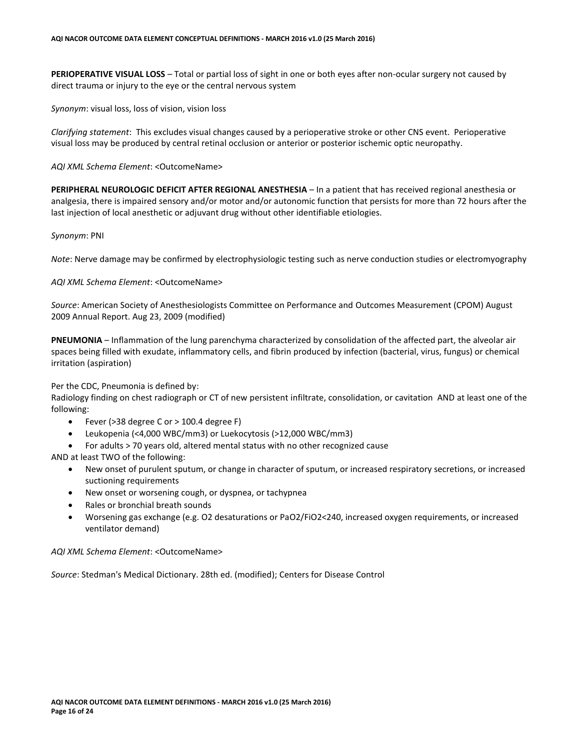**PERIOPERATIVE VISUAL LOSS** – Total or partial loss of sight in one or both eyes after non-ocular surgery not caused by direct trauma or injury to the eye or the central nervous system

*Synonym*: visual loss, loss of vision, vision loss

*Clarifying statement*: This excludes visual changes caused by a perioperative stroke or other CNS event. Perioperative visual loss may be produced by central retinal occlusion or anterior or posterior ischemic optic neuropathy.

*AQI XML Schema Element*: <OutcomeName>

**PERIPHERAL NEUROLOGIC DEFICIT AFTER REGIONAL ANESTHESIA** – In a patient that has received regional anesthesia or analgesia, there is impaired sensory and/or motor and/or autonomic function that persists for more than 72 hours after the last injection of local anesthetic or adjuvant drug without other identifiable etiologies.

#### *Synonym*: PNI

*Note*: Nerve damage may be confirmed by electrophysiologic testing such as nerve conduction studies or electromyography

#### *AQI XML Schema Element*: <OutcomeName>

*Source*: American Society of Anesthesiologists Committee on Performance and Outcomes Measurement (CPOM) August 2009 Annual Report. Aug 23, 2009 (modified)

**PNEUMONIA** – Inflammation of the lung parenchyma characterized by consolidation of the affected part, the alveolar air spaces being filled with exudate, inflammatory cells, and fibrin produced by infection (bacterial, virus, fungus) or chemical irritation (aspiration)

Per the CDC, Pneumonia is defined by:

Radiology finding on chest radiograph or CT of new persistent infiltrate, consolidation, or cavitation AND at least one of the following:

- Fever (>38 degree C or > 100.4 degree F)
- Leukopenia (<4,000 WBC/mm3) or Luekocytosis (>12,000 WBC/mm3)
- For adults > 70 years old, altered mental status with no other recognized cause

AND at least TWO of the following:

- New onset of purulent sputum, or change in character of sputum, or increased respiratory secretions, or increased suctioning requirements
- New onset or worsening cough, or dyspnea, or tachypnea
- Rales or bronchial breath sounds
- Worsening gas exchange (e.g. O2 desaturations or PaO2/FiO2<240, increased oxygen requirements, or increased ventilator demand)

*AQI XML Schema Element*: <OutcomeName>

*Source*: Stedman's Medical Dictionary. 28th ed. (modified); Centers for Disease Control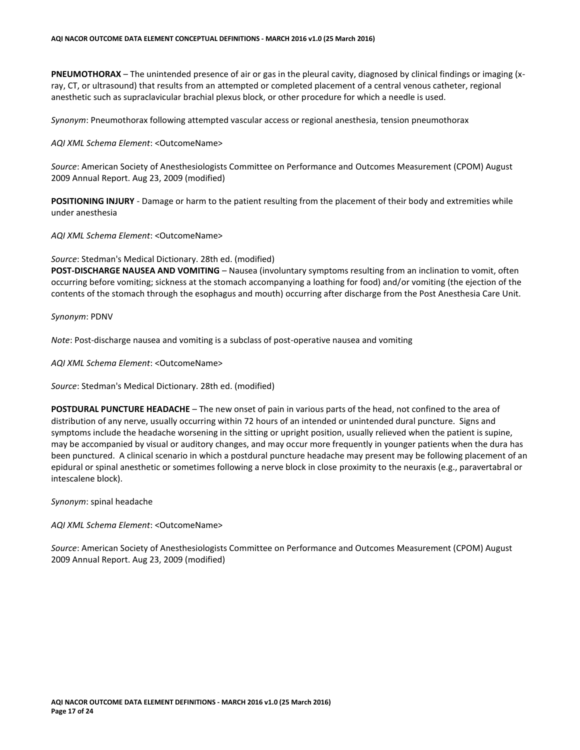**PNEUMOTHORAX** – The unintended presence of air or gas in the pleural cavity, diagnosed by clinical findings or imaging (xray, CT, or ultrasound) that results from an attempted or completed placement of a central venous catheter, regional anesthetic such as supraclavicular brachial plexus block, or other procedure for which a needle is used.

*Synonym*: Pneumothorax following attempted vascular access or regional anesthesia, tension pneumothorax

#### *AQI XML Schema Element*: <OutcomeName>

*Source*: American Society of Anesthesiologists Committee on Performance and Outcomes Measurement (CPOM) August 2009 Annual Report. Aug 23, 2009 (modified)

**POSITIONING INJURY** - Damage or harm to the patient resulting from the placement of their body and extremities while under anesthesia

*AQI XML Schema Element*: <OutcomeName>

*Source*: Stedman's Medical Dictionary. 28th ed. (modified)

**POST-DISCHARGE NAUSEA AND VOMITING** – Nausea (involuntary symptoms resulting from an inclination to vomit, often occurring before vomiting; sickness at the stomach accompanying a loathing for food) and/or vomiting (the ejection of the contents of the stomach through the esophagus and mouth) occurring after discharge from the Post Anesthesia Care Unit.

#### *Synonym*: PDNV

*Note*: Post-discharge nausea and vomiting is a subclass of post-operative nausea and vomiting

*AQI XML Schema Element*: <OutcomeName>

*Source*: Stedman's Medical Dictionary. 28th ed. (modified)

**POSTDURAL PUNCTURE HEADACHE** – The new onset of pain in various parts of the head, not confined to the area of distribution of any nerve, usually occurring within 72 hours of an intended or unintended dural puncture. Signs and symptoms include the headache worsening in the sitting or upright position, usually relieved when the patient is supine, may be accompanied by visual or auditory changes, and may occur more frequently in younger patients when the dura has been punctured. A clinical scenario in which a postdural puncture headache may present may be following placement of an epidural or spinal anesthetic or sometimes following a nerve block in close proximity to the neuraxis (e.g., paravertabral or intescalene block).

*Synonym*: spinal headache

*AQI XML Schema Element*: <OutcomeName>

*Source*: American Society of Anesthesiologists Committee on Performance and Outcomes Measurement (CPOM) August 2009 Annual Report. Aug 23, 2009 (modified)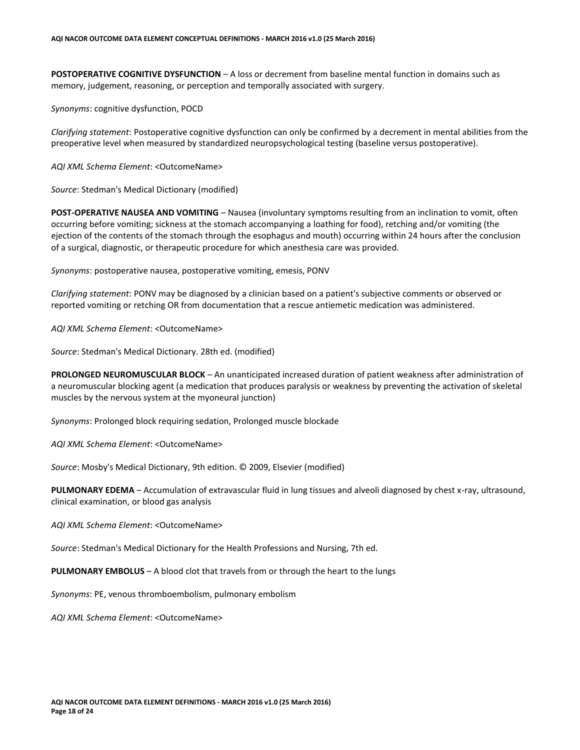**POSTOPERATIVE COGNITIVE DYSFUNCTION** – A loss or decrement from baseline mental function in domains such as memory, judgement, reasoning, or perception and temporally associated with surgery.

*Synonyms*: cognitive dysfunction, POCD

*Clarifying statement*: Postoperative cognitive dysfunction can only be confirmed by a decrement in mental abilities from the preoperative level when measured by standardized neuropsychological testing (baseline versus postoperative).

*AQI XML Schema Element*: <OutcomeName>

*Source*: Stedman's Medical Dictionary (modified)

**POST-OPERATIVE NAUSEA AND VOMITING** – Nausea (involuntary symptoms resulting from an inclination to vomit, often occurring before vomiting; sickness at the stomach accompanying a loathing for food), retching and/or vomiting (the ejection of the contents of the stomach through the esophagus and mouth) occurring within 24 hours after the conclusion of a surgical, diagnostic, or therapeutic procedure for which anesthesia care was provided.

*Synonyms*: postoperative nausea, postoperative vomiting, emesis, PONV

*Clarifying statement*: PONV may be diagnosed by a clinician based on a patient's subjective comments or observed or reported vomiting or retching OR from documentation that a rescue antiemetic medication was administered.

*AQI XML Schema Element*: <OutcomeName>

*Source*: Stedman's Medical Dictionary. 28th ed. (modified)

**PROLONGED NEUROMUSCULAR BLOCK** – An unanticipated increased duration of patient weakness after administration of a neuromuscular blocking agent (a medication that produces paralysis or weakness by preventing the activation of skeletal muscles by the nervous system at the myoneural junction)

*Synonyms*: Prolonged block requiring sedation, Prolonged muscle blockade

*AQI XML Schema Element*: <OutcomeName>

*Source*: Mosby's Medical Dictionary, 9th edition. © 2009, Elsevier (modified)

**PULMONARY EDEMA** – Accumulation of extravascular fluid in lung tissues and alveoli diagnosed by chest x-ray, ultrasound, clinical examination, or blood gas analysis

*AQI XML Schema Element*: <OutcomeName>

*Source*: Stedman's Medical Dictionary for the Health Professions and Nursing, 7th ed.

**PULMONARY EMBOLUS** – A blood clot that travels from or through the heart to the lungs

*Synonyms*: PE, venous thromboembolism, pulmonary embolism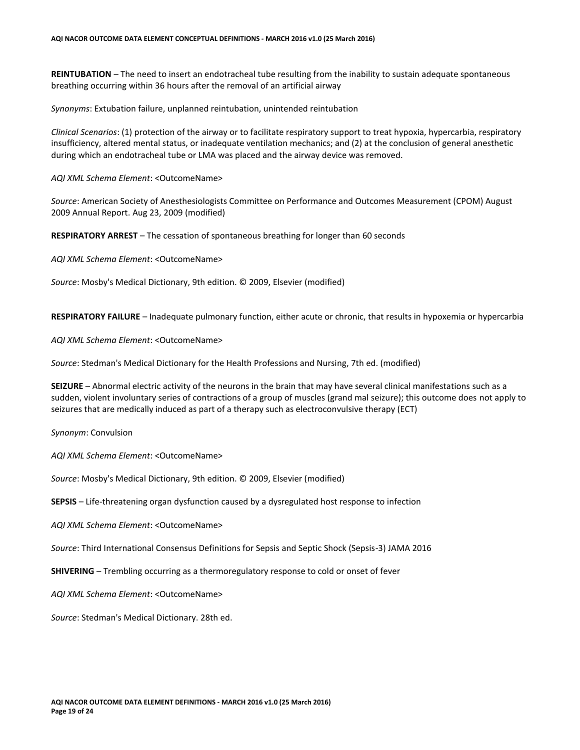**REINTUBATION** – The need to insert an endotracheal tube resulting from the inability to sustain adequate spontaneous breathing occurring within 36 hours after the removal of an artificial airway

*Synonyms*: Extubation failure, unplanned reintubation, unintended reintubation

*Clinical Scenarios*: (1) protection of the airway or to facilitate respiratory support to treat hypoxia, hypercarbia, respiratory insufficiency, altered mental status, or inadequate ventilation mechanics; and (2) at the conclusion of general anesthetic during which an endotracheal tube or LMA was placed and the airway device was removed.

*AQI XML Schema Element*: <OutcomeName>

*Source*: American Society of Anesthesiologists Committee on Performance and Outcomes Measurement (CPOM) August 2009 Annual Report. Aug 23, 2009 (modified)

**RESPIRATORY ARREST** – The cessation of spontaneous breathing for longer than 60 seconds

*AQI XML Schema Element*: <OutcomeName>

*Source*: Mosby's Medical Dictionary, 9th edition. © 2009, Elsevier (modified)

**RESPIRATORY FAILURE** – Inadequate pulmonary function, either acute or chronic, that results in hypoxemia or hypercarbia

*AQI XML Schema Element*: <OutcomeName>

*Source*: Stedman's Medical Dictionary for the Health Professions and Nursing, 7th ed. (modified)

**SEIZURE** – Abnormal electric activity of the neurons in the brain that may have several clinical manifestations such as a sudden, violent involuntary series of contractions of a group of muscles (grand mal seizure); this outcome does not apply to seizures that are medically induced as part of a therapy such as electroconvulsive therapy (ECT)

*Synonym*: Convulsion

*AQI XML Schema Element*: <OutcomeName>

*Source*: Mosby's Medical Dictionary, 9th edition. © 2009, Elsevier (modified)

**SEPSIS** – Life-threatening organ dysfunction caused by a dysregulated host response to infection

*AQI XML Schema Element*: <OutcomeName>

*Source*: Third International Consensus Definitions for Sepsis and Septic Shock (Sepsis-3) JAMA 2016

**SHIVERING** – Trembling occurring as a thermoregulatory response to cold or onset of fever

*AQI XML Schema Element*: <OutcomeName>

*Source*: Stedman's Medical Dictionary. 28th ed.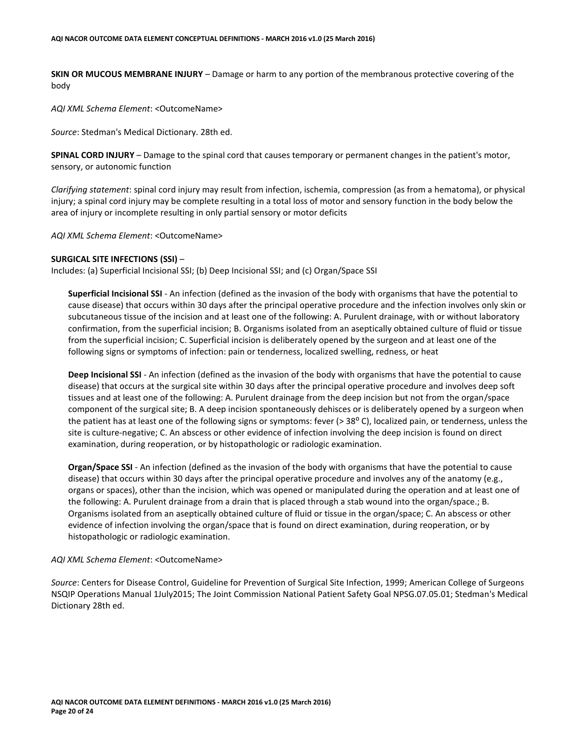**SKIN OR MUCOUS MEMBRANE INJURY** – Damage or harm to any portion of the membranous protective covering of the body

*AQI XML Schema Element*: <OutcomeName>

*Source*: Stedman's Medical Dictionary. 28th ed.

**SPINAL CORD INJURY** – Damage to the spinal cord that causes temporary or permanent changes in the patient's motor, sensory, or autonomic function

*Clarifying statement*: spinal cord injury may result from infection, ischemia, compression (as from a hematoma), or physical injury; a spinal cord injury may be complete resulting in a total loss of motor and sensory function in the body below the area of injury or incomplete resulting in only partial sensory or motor deficits

*AQI XML Schema Element*: <OutcomeName>

#### **SURGICAL SITE INFECTIONS (SSI)** –

Includes: (a) Superficial Incisional SSI; (b) Deep Incisional SSI; and (c) Organ/Space SSI

**Superficial Incisional SSI** - An infection (defined as the invasion of the body with organisms that have the potential to cause disease) that occurs within 30 days after the principal operative procedure and the infection involves only skin or subcutaneous tissue of the incision and at least one of the following: A. Purulent drainage, with or without laboratory confirmation, from the superficial incision; B. Organisms isolated from an aseptically obtained culture of fluid or tissue from the superficial incision; C. Superficial incision is deliberately opened by the surgeon and at least one of the following signs or symptoms of infection: pain or tenderness, localized swelling, redness, or heat

**Deep Incisional SSI** - An infection (defined as the invasion of the body with organisms that have the potential to cause disease) that occurs at the surgical site within 30 days after the principal operative procedure and involves deep soft tissues and at least one of the following: A. Purulent drainage from the deep incision but not from the organ/space component of the surgical site; B. A deep incision spontaneously dehisces or is deliberately opened by a surgeon when the patient has at least one of the following signs or symptoms: fever (> 38° C), localized pain, or tenderness, unless the site is culture-negative; C. An abscess or other evidence of infection involving the deep incision is found on direct examination, during reoperation, or by histopathologic or radiologic examination.

**Organ/Space SSI** - An infection (defined as the invasion of the body with organisms that have the potential to cause disease) that occurs within 30 days after the principal operative procedure and involves any of the anatomy (e.g., organs or spaces), other than the incision, which was opened or manipulated during the operation and at least one of the following: A. Purulent drainage from a drain that is placed through a stab wound into the organ/space.; B. Organisms isolated from an aseptically obtained culture of fluid or tissue in the organ/space; C. An abscess or other evidence of infection involving the organ/space that is found on direct examination, during reoperation, or by histopathologic or radiologic examination.

#### *AQI XML Schema Element*: <OutcomeName>

*Source*: Centers for Disease Control, Guideline for Prevention of Surgical Site Infection, 1999; American College of Surgeons NSQIP Operations Manual 1July2015; The Joint Commission National Patient Safety Goal NPSG.07.05.01; Stedman's Medical Dictionary 28th ed.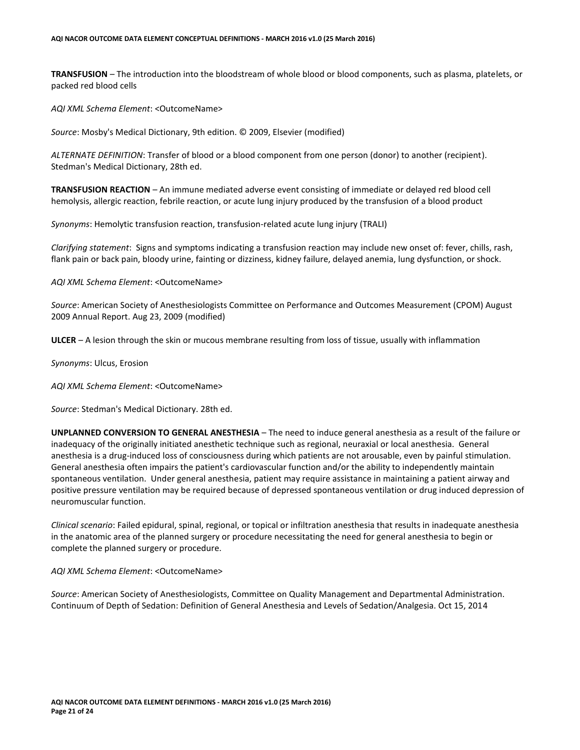**TRANSFUSION** – The introduction into the bloodstream of whole blood or blood components, such as plasma, platelets, or packed red blood cells

*AQI XML Schema Element*: <OutcomeName>

*Source*: Mosby's Medical Dictionary, 9th edition. © 2009, Elsevier (modified)

*ALTERNATE DEFINITION*: Transfer of blood or a blood component from one person (donor) to another (recipient). Stedman's Medical Dictionary, 28th ed.

**TRANSFUSION REACTION** – An immune mediated adverse event consisting of immediate or delayed red blood cell hemolysis, allergic reaction, febrile reaction, or acute lung injury produced by the transfusion of a blood product

*Synonyms*: Hemolytic transfusion reaction, transfusion-related acute lung injury (TRALI)

*Clarifying statement*: Signs and symptoms indicating a transfusion reaction may include new onset of: fever, chills, rash, flank pain or back pain, bloody urine, fainting or dizziness, kidney failure, delayed anemia, lung dysfunction, or shock.

*AQI XML Schema Element*: <OutcomeName>

*Source*: American Society of Anesthesiologists Committee on Performance and Outcomes Measurement (CPOM) August 2009 Annual Report. Aug 23, 2009 (modified)

**ULCER** – A lesion through the skin or mucous membrane resulting from loss of tissue, usually with inflammation

*Synonyms*: Ulcus, Erosion

*AQI XML Schema Element*: <OutcomeName>

*Source*: Stedman's Medical Dictionary. 28th ed.

**UNPLANNED CONVERSION TO GENERAL ANESTHESIA** – The need to induce general anesthesia as a result of the failure or inadequacy of the originally initiated anesthetic technique such as regional, neuraxial or local anesthesia. General anesthesia is a drug-induced loss of consciousness during which patients are not arousable, even by painful stimulation. General anesthesia often impairs the patient's cardiovascular function and/or the ability to independently maintain spontaneous ventilation. Under general anesthesia, patient may require assistance in maintaining a patient airway and positive pressure ventilation may be required because of depressed spontaneous ventilation or drug induced depression of neuromuscular function.

*Clinical scenario*: Failed epidural, spinal, regional, or topical or infiltration anesthesia that results in inadequate anesthesia in the anatomic area of the planned surgery or procedure necessitating the need for general anesthesia to begin or complete the planned surgery or procedure.

#### *AQI XML Schema Element*: <OutcomeName>

*Source*: American Society of Anesthesiologists, Committee on Quality Management and Departmental Administration. Continuum of Depth of Sedation: Definition of General Anesthesia and Levels of Sedation/Analgesia. Oct 15, 2014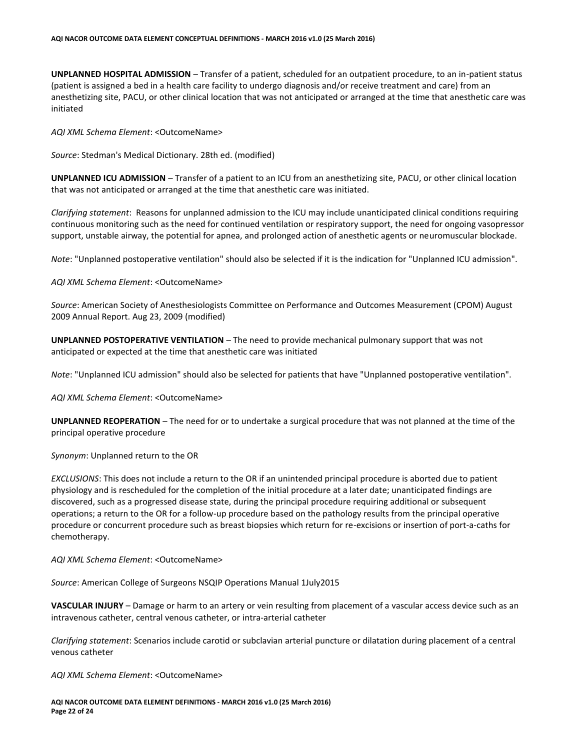**UNPLANNED HOSPITAL ADMISSION** – Transfer of a patient, scheduled for an outpatient procedure, to an in-patient status (patient is assigned a bed in a health care facility to undergo diagnosis and/or receive treatment and care) from an anesthetizing site, PACU, or other clinical location that was not anticipated or arranged at the time that anesthetic care was initiated

*AQI XML Schema Element*: <OutcomeName>

*Source*: Stedman's Medical Dictionary. 28th ed. (modified)

**UNPLANNED ICU ADMISSION** – Transfer of a patient to an ICU from an anesthetizing site, PACU, or other clinical location that was not anticipated or arranged at the time that anesthetic care was initiated.

*Clarifying statement*: Reasons for unplanned admission to the ICU may include unanticipated clinical conditions requiring continuous monitoring such as the need for continued ventilation or respiratory support, the need for ongoing vasopressor support, unstable airway, the potential for apnea, and prolonged action of anesthetic agents or neuromuscular blockade.

*Note*: "Unplanned postoperative ventilation" should also be selected if it is the indication for "Unplanned ICU admission".

*AQI XML Schema Element*: <OutcomeName>

*Source*: American Society of Anesthesiologists Committee on Performance and Outcomes Measurement (CPOM) August 2009 Annual Report. Aug 23, 2009 (modified)

**UNPLANNED POSTOPERATIVE VENTILATION** – The need to provide mechanical pulmonary support that was not anticipated or expected at the time that anesthetic care was initiated

*Note*: "Unplanned ICU admission" should also be selected for patients that have "Unplanned postoperative ventilation".

*AQI XML Schema Element*: <OutcomeName>

**UNPLANNED REOPERATION** – The need for or to undertake a surgical procedure that was not planned at the time of the principal operative procedure

*Synonym*: Unplanned return to the OR

*EXCLUSIONS*: This does not include a return to the OR if an unintended principal procedure is aborted due to patient physiology and is rescheduled for the completion of the initial procedure at a later date; unanticipated findings are discovered, such as a progressed disease state, during the principal procedure requiring additional or subsequent operations; a return to the OR for a follow-up procedure based on the pathology results from the principal operative procedure or concurrent procedure such as breast biopsies which return for re-excisions or insertion of port-a-caths for chemotherapy.

*AQI XML Schema Element*: <OutcomeName>

*Source*: American College of Surgeons NSQIP Operations Manual 1July2015

**VASCULAR INJURY** – Damage or harm to an artery or vein resulting from placement of a vascular access device such as an intravenous catheter, central venous catheter, or intra-arterial catheter

*Clarifying statement*: Scenarios include carotid or subclavian arterial puncture or dilatation during placement of a central venous catheter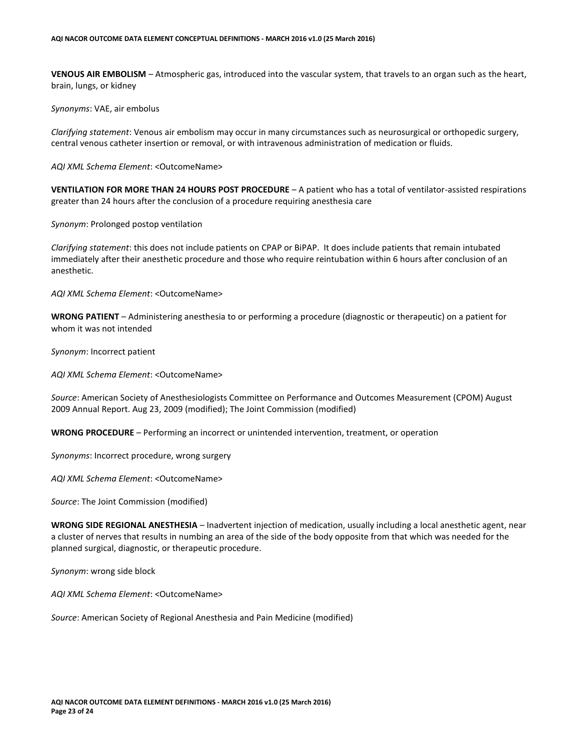**VENOUS AIR EMBOLISM** – Atmospheric gas, introduced into the vascular system, that travels to an organ such as the heart, brain, lungs, or kidney

*Synonyms*: VAE, air embolus

*Clarifying statement*: Venous air embolism may occur in many circumstances such as neurosurgical or orthopedic surgery, central venous catheter insertion or removal, or with intravenous administration of medication or fluids.

*AQI XML Schema Element*: <OutcomeName>

**VENTILATION FOR MORE THAN 24 HOURS POST PROCEDURE** – A patient who has a total of ventilator-assisted respirations greater than 24 hours after the conclusion of a procedure requiring anesthesia care

*Synonym*: Prolonged postop ventilation

*Clarifying statement*: this does not include patients on CPAP or BiPAP. It does include patients that remain intubated immediately after their anesthetic procedure and those who require reintubation within 6 hours after conclusion of an anesthetic.

*AQI XML Schema Element*: <OutcomeName>

**WRONG PATIENT** – Administering anesthesia to or performing a procedure (diagnostic or therapeutic) on a patient for whom it was not intended

*Synonym*: Incorrect patient

*AQI XML Schema Element*: <OutcomeName>

*Source*: American Society of Anesthesiologists Committee on Performance and Outcomes Measurement (CPOM) August 2009 Annual Report. Aug 23, 2009 (modified); The Joint Commission (modified)

**WRONG PROCEDURE** – Performing an incorrect or unintended intervention, treatment, or operation

*Synonyms*: Incorrect procedure, wrong surgery

*AQI XML Schema Element*: <OutcomeName>

*Source*: The Joint Commission (modified)

**WRONG SIDE REGIONAL ANESTHESIA** – Inadvertent injection of medication, usually including a local anesthetic agent, near a cluster of nerves that results in numbing an area of the side of the body opposite from that which was needed for the planned surgical, diagnostic, or therapeutic procedure.

*Synonym*: wrong side block

*AQI XML Schema Element*: <OutcomeName>

*Source*: American Society of Regional Anesthesia and Pain Medicine (modified)